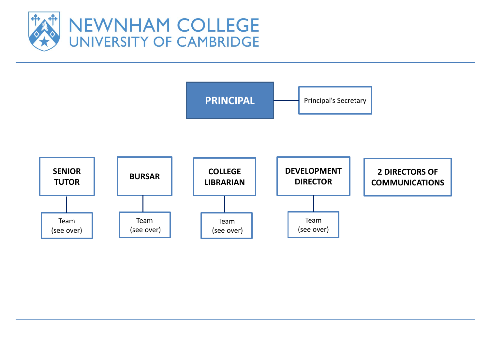

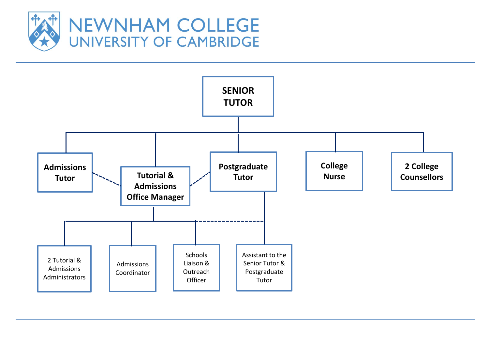

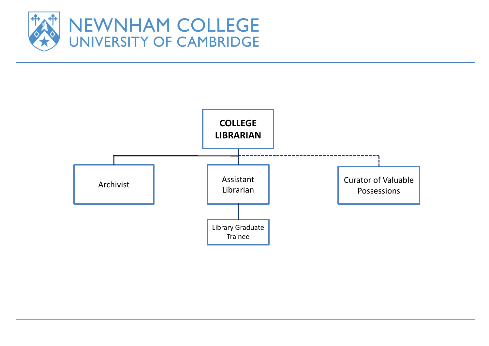

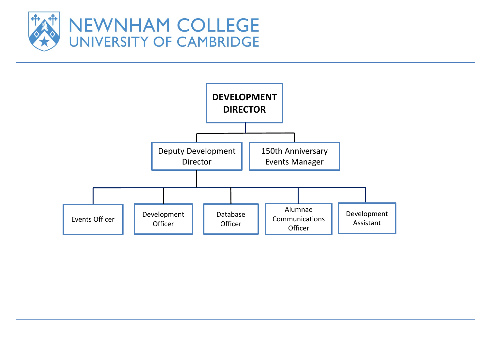

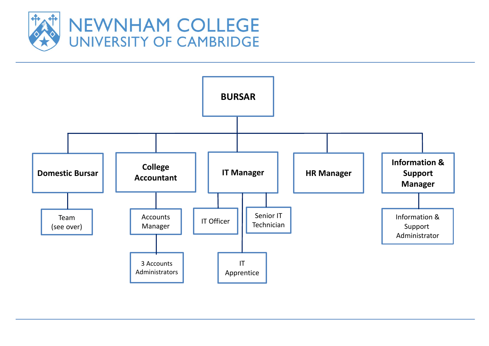

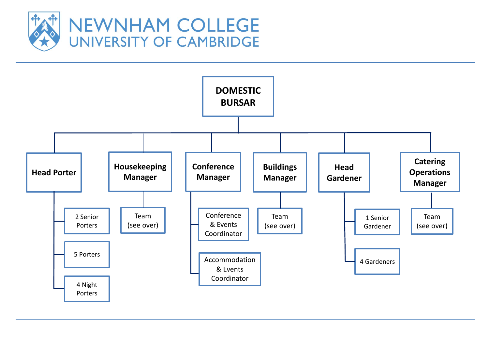

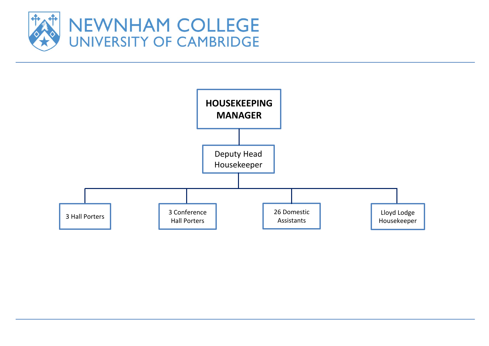

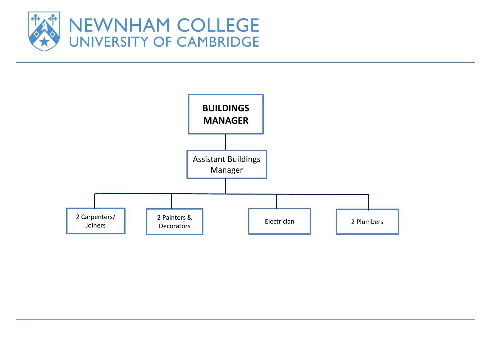